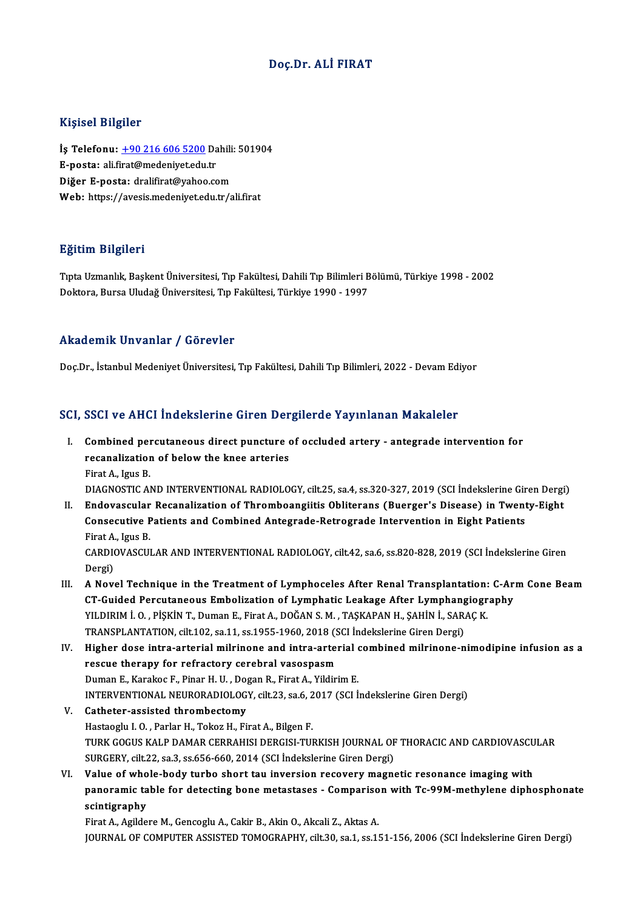### Doç.Dr. ALİ FIRAT

### Kişisel Bilgiler

Kişisel Bilgiler<br>İş Telefonu: <u>+90 216 606 5200</u> Dahili: 501904<br>E nasta: eli firat@medeniyet.edu.tr Ingred Drighter<br>İş Telefonu: <u>+90 216 606 5200</u> Da<br>E-posta: ali.f[irat@medeniyet.edu](tel:+90 216 606 5200).tr<br>Dižor E nosta: dralifirat@vaboo.co İş Telefonu: <u>+90 216 606 5200</u> Dahili<br>E-posta: ali.firat@medeniyet.edu.tr<br>Diğer E-posta: dralifirat@yahoo.com<br>Web: bttps://avesis.medeniyet.edu.tr/a E-posta: ali.firat@medeniyet.edu.tr<br>Diğer E-posta: dralifirat@yahoo.com<br>Web: https://avesis.medenivet.edu.tr/ali.firat

### Eğitim Bilgileri

**Eğitim Bilgileri**<br>Tıpta Uzmanlık, Başkent Üniversitesi, Tıp Fakültesi, Dahili Tıp Bilimleri Bölümü, Türkiye 1998 - 2002<br>Dektara Bursa Uludağ Üniversitesi, Tıp Fakültesi, Türkiye 1999, 1997 25.cmm 2 ngnori<br>Tıpta Uzmanlık, Başkent Üniversitesi, Tıp Fakültesi, Dahili Tıp Bilimleri B<br>Doktora, Bursa Uludağ Üniversitesi, Tıp Fakültesi, Türkiye 1990 - 1997 Doktora, Bursa Uludağ Üniversitesi, Tıp Fakültesi, Türkiye 1990 - 1997<br>Akademik Unvanlar / Görevler

Doç.Dr., İstanbul Medeniyet Üniversitesi, Tıp Fakültesi, Dahili Tıp Bilimleri, 2022 - Devam Ediyor

# 1900).<br>SCI, SSCI ve AHCI İndekslerine Giren Dergilerde Yayınlanan Makaleler<br>SCI, SSCI ve AHCI İndekslerine Giren Dergilerde Yayınlanan Makaleler

CI, SSCI ve AHCI İndekslerine Giren Dergilerde Yayınlanan Makaleler<br>I. Combined percutaneous direct puncture of occluded artery - antegrade intervention for<br>I. Combined percutaneous direct puncture of occluded artery - ant Combined percutaneous direct puncture<br>recanalization of below the knee arteries<br>First A. Jave P. Combined per<br>recanalization<br>Firat A., Igus B.<br>DIACNOSTIC AL recanalization of below the knee arteries<br>Firat A., Igus B.<br>DIAGNOSTIC AND INTERVENTIONAL RADIOLOGY, cilt.25, sa.4, ss.320-327, 2019 (SCI İndekslerine Giren Dergi)<br>Endovescular Besanalization of Thromboangijtis Oblitarans

Firat A., Igus B.<br>DIAGNOSTIC AND INTERVENTIONAL RADIOLOGY, cilt.25, sa.4, ss.320-327, 2019 (SCI İndekslerine Giren Dergi<br>II. Endovascular Recanalization of Thromboangiitis Obliterans (Buerger's Disease) in Twenty-Eight<br>Con DIAGNOSTIC AND INTERVENTIONAL RADIOLOGY, cilt.25, sa.4, ss.320-327, 2019 (SCI İndekslerine Gir<br>Endovascular Recanalization of Thromboangiitis Obliterans (Buerger's Disease) in Twent<br>Consecutive Patients and Combined Antegr II. Endovascular Recanalization of Thromboangiitis Obliterans (Buerger's Disease) in Twenty-Eight<br>Consecutive Patients and Combined Antegrade-Retrograde Intervention in Eight Patients<br>Firat A., Igus B. Consecutive Patients and Combined Antegrade-Retrograde Intervention in Eight Patients<br>Firat A., Igus B.<br>CARDIOVASCULAR AND INTERVENTIONAL RADIOLOGY, cilt.42, sa.6, ss.820-828, 2019 (SCI İndekslerine Giren<br>Persi)

Firat A.<br>CARDIO<br>Dergi) CARDIOVASCULAR AND INTERVENTIONAL RADIOLOGY, cilt.42, sa.6, ss.820-828, 2019 (SCI Indekslerine Giren<br>Dergi)<br>III. A Novel Technique in the Treatment of Lymphoceles After Renal Transplantation: C-Arm Cone Beam<br>CT Cuided Berg

- Dergi)<br>III. A Novel Technique in the Treatment of Lymphoceles After Renal Transplantation: C-Arm Cone Beam<br>CT-Guided Percutaneous Embolization of Lymphatic Leakage After Lymphangiography A Novel Technique in the Treatment of Lymphoceles After Renal Transplantation:<br>CT-Guided Percutaneous Embolization of Lymphatic Leakage After Lymphangiogr<br>YILDIRIM İ. O. , PİŞKİN T., Duman E., Firat A., DOĞAN S. M. , TAŞKA CT-Guided Percutaneous Embolization of Lymphatic Leakage After Lymphang<br>YILDIRIM İ. O. , PİŞKİN T., Duman E., Firat A., DOĞAN S. M. , TAŞKAPAN H., ŞAHİN İ., SAR.<br>TRANSPLANTATION, cilt.102, sa.11, ss.1955-1960, 2018 (SCI İn YILDIRIM İ. O. , PİŞKİN T., Duman E., Firat A., DOĞAN S. M. , TAŞKAPAN H., ŞAHİN İ., SARAÇ K.<br>TRANSPLANTATION, cilt.102, sa.11, ss.1955-1960, 2018 (SCI İndekslerine Giren Dergi)<br>IV. Higher dose intra-arterial milrinone and
- TRANSPLANTATION, cilt.102, sa.11, ss.1955-1960, 2018 (SCI Indekslerine Giren Dergi)<br>Higher dose intra-arterial milrinone and intra-arterial combined milrinone-n<br>rescue therapy for refractory cerebral vasospasm<br>Duman E., Ka Higher dose intra-arterial milrinone and intra-arterial of the scue therapy for refractory cerebral vasospasm<br>Duman E., Karakoc F., Pinar H. U. , Dogan R., Firat A., Yildirim E.<br>INTERVENTIONAL NEURORADIOLOCY sit 22 sa 6, 2 rescue therapy for refractory cerebral vasospasm<br>Duman E., Karakoc F., Pinar H. U. , Dogan R., Firat A., Yildirim E.<br>INTERVENTIONAL NEURORADIOLOGY, cilt.23, sa.6, 2017 (SCI İndekslerine Giren Dergi)<br>Cathatar assisted throm Duman E., Karakoc F., Pinar H. U., Do<sub>!</sub><br>INTERVENTIONAL NEURORADIOLOG<br>V. Catheter-assisted thrombectomy<br>Hastacc<sup>h</sup>u J.O., Barlar H. Takas H. Et
- INTERVENTIONAL NEURORADIOLOGY, cilt.23, sa.6, 2<br>Catheter-assisted thrombectomy<br>Hastaoglu I. O. , Parlar H., Tokoz H., Firat A., Bilgen F.<br>TIBY COCUS YALB DAMAR GERRAHISI DERCISI TUL Catheter-assisted thrombectomy<br>Hastaoglu I. O. , Parlar H., Tokoz H., Firat A., Bilgen F.<br>TURK GOGUS KALP DAMAR CERRAHISI DERGISI-TURKISH JOURNAL OF THORACIC AND CARDIOVASCULAR<br>SURCERY, Silt 22, SS 2, SS 656, 660, 2014 (SS Hastaoglu I. O. , Parlar H., Tokoz H., Firat A., Bilgen F.<br>TURK GOGUS KALP DAMAR CERRAHISI DERGISI-TURKISH JOURNAL OF<br>SURGERY, cilt.22, sa.3, ss.656-660, 2014 (SCI İndekslerine Giren Dergi)<br>Value of urbala badu turbe sbert TURK GOGUS KALP DAMAR CERRAHISI DERGISI-TURKISH JOURNAL OF THORACIC AND CARDIOVASCU<br>SURGERY, cilt.22, sa.3, ss.656-660, 2014 (SCI Indekslerine Giren Dergi)<br>VI. Value of whole-body turbo short tau inversion recovery magneti
- SURGERY, cilt.22, sa.3, ss.656-660, 2014 (SCI İndekslerine Giren Dergi)<br>Value of whole-body turbo short tau inversion recovery magnetic resonance imaging with<br>panoramic table for detecting bone metastases Comparison with Value of who<br>panoramic ta<br>scintigraphy<br>Einst A Agilde panoramic table for detecting bone metastases - Compariso<br>scintigraphy<br>Firat A., Agildere M., Gencoglu A., Cakir B., Akin O., Akcali Z., Aktas A.<br>JOUPNAL OF COMPUTED ASSISTED TOMOCRAPHY silt 20. ss 1. ss 1.

sci**ntigraphy**<br>Firat A., Agildere M., Gencoglu A., Cakir B., Akin O., Akcali Z., Aktas A.<br>JOURNAL OF COMPUTER ASSISTED TOMOGRAPHY, cilt.30, sa.1, ss.151-156, 2006 (SCI İndekslerine Giren Dergi)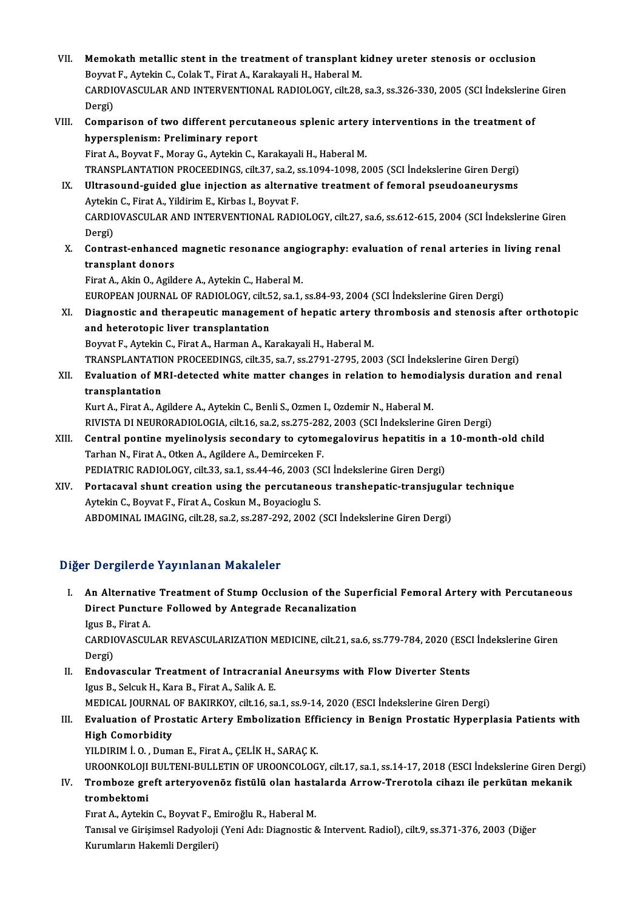VII. Memokath metallic stent in the treatment of transplant kidney ureter stenosis or occlusion<br>Reynat E. Autelin C. Colek T. Finst A. Kanakayali H. Haberal M. Memokath metallic stent in the treatment of transplant l<br>Boyvat F., Aytekin C., Colak T., Firat A., Karakayali H., Haberal M.<br>CARDIQVASCULAR AND INTERVENTIONAL RADIOLOCY, silt 29. Memokath metallic stent in the treatment of transplant kidney ureter stenosis or occlusion<br>Boyvat F., Aytekin C., Colak T., Firat A., Karakayali H., Haberal M.<br>CARDIOVASCULAR AND INTERVENTIONAL RADIOLOGY, cilt.28, sa.3, ss Boyvat<br>CARDI<br>Dergi)<br>Campa CARDIOVASCULAR AND INTERVENTIONAL RADIOLOGY, cilt.28, sa.3, ss.326-330, 2005 (SCI İndekslerine<br>Dergi)<br>VIII. Comparison of two different percutaneous splenic artery interventions in the treatment of<br>hypercelenism: Prelimina Dergi)<br>Comparison of two different percut<br>hypersplenism: Preliminary report<br>Firet A. Bourat E. Moray C. Aytekin C. I hypersplenism: Preliminary report<br>Firat A., Boyvat F., Moray G., Aytekin C., Karakayali H., Haberal M. TRANSPLANTATION PROCEEDINGS, cilt.37, sa.2, ss.1094-1098, 2005 (SCI İndekslerine Giren Dergi) Firat A., Boyvat F., Moray G., Aytekin C., Karakayali H., Haberal M.<br>TRANSPLANTATION PROCEEDINGS, cilt.37, sa.2, ss.1094-1098, 2005 (SCI İndekslerine Giren Dergi)<br>IX. Ultrasound-guided glue injection as alternative treatme TRANSPLANTATION PROCEEDINGS, cilt.37, sa.2, s<br>Ultrasound-guided glue injection as alterna<br>Aytekin C., Firat A., Yildirim E., Kirbas I., Boyvat F.<br>CARDIOVASCULAR AND INTERVENTIONAL RADI CARDIOVASCULAR AND INTERVENTIONAL RADIOLOGY, cilt.27, sa.6, ss.612-615, 2004 (SCI İndekslerine Giren<br>Dergi) Aytekin C., Firat A., Yildirim E., Kirbas I., Boyvat F. CARDIOVASCULAR AND INTERVENTIONAL RADIOLOGY, cilt.27, sa.6, ss.612-615, 2004 (SCI İndekslerine Giren Dergi)<br>Dergi)<br>X. Contrast-enhanced magnetic resonance angiography: evaluation of renal arteries in living renal<br>transplan transplant donors<br>Firat A., Akin O., Agildere A., Aytekin C., Haberal M. Contrast-enhanced magnetic resonance angi<br>transplant donors<br>Firat A., Akin O., Agildere A., Aytekin C., Haberal M.<br>FUROPEAN JOURNAL OF RADIOLOCY, silt 52, 82.1 EUROPEANJOURNALOFRADIOLOGY, cilt.52, sa.1, ss.84-93,2004 (SCI İndekslerineGirenDergi) Firat A., Akin O., Agildere A., Aytekin C., Haberal M.<br>EUROPEAN JOURNAL OF RADIOLOGY, cilt52, sa.1, ss.84-93, 2004 (SCI İndekslerine Giren Dergi)<br>XI. Diagnostic and therapeutic management of hepatic artery thrombosis and s EUROPEAN JOURNAL OF RADIOLOGY, cilt.5<br>Diagnostic and therapeutic manageme<br>and heterotopic liver transplantation<br>Bowet E. Autolin G. Finat A. Harman A. M Diagnostic and therapeutic management of hepatic artery<br>and heterotopic liver transplantation<br>Boyvat F., Aytekin C., Firat A., Harman A., Karakayali H., Haberal M.<br>TRANSPLANTATION PROCEEDINGS silt 25, 28, 27, 28, 2701, 270 and heterotopic liver transplantation<br>Boyvat F., Aytekin C., Firat A., Harman A., Karakayali H., Haberal M.<br>TRANSPLANTATION PROCEEDINGS, cilt.35, sa.7, ss.2791-2795, 2003 (SCI İndekslerine Giren Dergi)<br>Fyalustion of MBL de Boyvat F., Aytekin C., Firat A., Harman A., Karakayali H., Haberal M.<br>TRANSPLANTATION PROCEEDINGS, cilt.35, sa.7, ss.2791-2795, 2003 (SCI Indekslerine Giren Dergi)<br>XII. Evaluation of MRI-detected white matter changes in re TRANSPLANTATION<br>Evaluation of Micross<br>transplantation Kurt A., Firat A., Agildere A., Aytekin C., Benli S., Ozmen I., Ozdemir N., Haberal M. transplantation<br>Kurt A., Firat A., Agildere A., Aytekin C., Benli S., Ozmen I., Ozdemir N., Haberal M.<br>RIVISTA DI NEURORADIOLOGIA, cilt.16, sa.2, ss.275-282, 2003 (SCI İndekslerine Giren Dergi)<br>Central pentine muelinelyeis Kurt A., Firat A., Agildere A., Aytekin C., Benli S., Ozmen I., Ozdemir N., Haberal M.<br>RIVISTA DI NEURORADIOLOGIA, cilt.16, sa.2, ss.275-282, 2003 (SCI İndekslerine Giren Dergi)<br>XIII. Central pontine myelinolysis secondary RIVISTA DI NEURORADIOLOGIA, cilt.16, sa.2, ss.275-28.<br>Central pontine myelinolysis secondary to cytom<br>Tarhan N., Firat A., Otken A., Agildere A., Demirceken F.<br>PEDIATRIC RADIOLOCY, silt 33, ss.1, ss.44, 46, 2003, SS Central pontine myelinolysis secondary to cytomegalovirus hepatitis in a<br>Tarhan N., Firat A., Otken A., Agildere A., Demirceken F.<br>PEDIATRIC RADIOLOGY, cilt.33, sa.1, ss.44-46, 2003 (SCI İndekslerine Giren Dergi)<br>Pertagaya Tarhan N., Firat A., Otken A., Agildere A., Demirceken F.<br>PEDIATRIC RADIOLOGY, cilt.33, sa.1, ss.44-46, 2003 (SCI İndekslerine Giren Dergi)<br>XIV. Portacaval shunt creation using the percutaneous transhepatic-transjugular te PEDIATRIC RADIOLOGY, cilt.33, sa.1, ss.44-46, 2003 (SCI İndekslerine Giren Dergi)<br>Portacaval shunt creation using the percutaneous transhepatic-transjugul<br>Aytekin C., Boyvat F., Firat A., Coskun M., Boyacioglu S.<br>ABDOMINAL Portacaval shunt creation using the percutaneous transhepatic-transjugul:<br>Aytekin C., Boyvat F., Firat A., Coskun M., Boyacioglu S.<br>ABDOMINAL IMAGING, cilt.28, sa.2, ss.287-292, 2002 (SCI İndekslerine Giren Dergi)

### Diğer Dergilerde Yayınlanan Makaleler

- I. An Alternative Treatment of Stump Occlusion of the Superficial Femoral Artery with Percutaneous Porgherdo Tdy Inlandii Makdroter<br>An Alternative Treatment of Stump Occlusion of the Sup<br>Direct Puncture Followed by Antegrade Recanalization **An Alternativ<br>Direct Punctu<br>Igus B., Firat A.<br>CARDIOVASCUI** Direct Puncture Followed by Antegrade Recanalization<br>Igus B., Firat A.<br>CARDIOVASCULAR REVASCULARIZATION MEDICINE, cilt.21, sa.6, ss.779-784, 2020 (ESCI İndekslerine Giren<br>Dergi) Igus B.,<br>CARDI(<br>Dergi)<br>Endev CARDIOVASCULAR REVASCULARIZATION MEDICINE, cilt.21, sa.6, ss.779-784, 2020 (ESC.<br>Dergi)<br>II. Endovascular Treatment of Intracranial Aneursyms with Flow Diverter Stents<br>Igus B. Solguk H. Kara B. Finat A. Solik A. F.
- Dergi)<br><mark>Endovascular Treatment of Intracrania</mark><br>Igus B., Selcuk H., Kara B., Firat A., Salik A. E.<br>MEDICAL JOURNAL OF RAKIRKOV, silt 16, Sa Endovascular Treatment of Intracranial Aneursyms with Flow Diverter Stents<br>Igus B., Selcuk H., Kara B., Firat A., Salik A. E.<br>MEDICAL JOURNAL OF BAKIRKOY, cilt.16, sa.1, ss.9-14, 2020 (ESCI İndekslerine Giren Dergi)<br>Fualua

## Igus B., Selcuk H., Kara B., Firat A., Salik A. E.<br>MEDICAL JOURNAL OF BAKIRKOY, cilt.16, sa.1, ss.9-14, 2020 (ESCI İndekslerine Giren Dergi)<br>III. Evaluation of Prostatic Artery Embolization Efficiency in Benign Prostatic H MEDICAL JOURNAL<br>Evaluation of Pros<br>High Comorbidity<br>VU DIPIM L.O. Dum

YILDIRIM İ. O., Duman E., Firat A., ÇELİK H., SARAÇK. UROONKOLOJI BULTENI-BULLETIN OF UROONCOLOGY, cilt.17, sa.1, ss.14-17, 2018 (ESCI İndekslerine Giren Dergi) YILDIRIM İ. O. , Duman E., Firat A., ÇELİK H., SARAÇ K.<br>UROONKOLOJI BULTENI-BULLETIN OF UROONCOLOGY, cilt.17, sa.1, ss.14-17, 2018 (ESCI İndekslerine Giren Der<br>IV. Tromboze greft arteryovenöz fistülü olan hastalarda Ar

UROONKOLOJI<br>Tromboze gre<br>trombektomi<br>Enat A Autelii Tromboze greft arteryovenöz fistülü olan hasta<br>trombektomi<br>Fırat A., Aytekin C., Boyvat F., Emiroğlu R., Haberal M.<br>Tanısal ve Girisimeal Badyaleji (Yani Adu Disenestis S

trombektomi<br>Fırat A., Aytekin C., Boyvat F., Emiroğlu R., Haberal M.<br>Tanısal ve Girişimsel Radyoloji (Yeni Adı: Diagnostic & Intervent. Radiol), cilt.9, ss.371-376, 2003 (Diğer Kurumların Hakemli Dergileri)